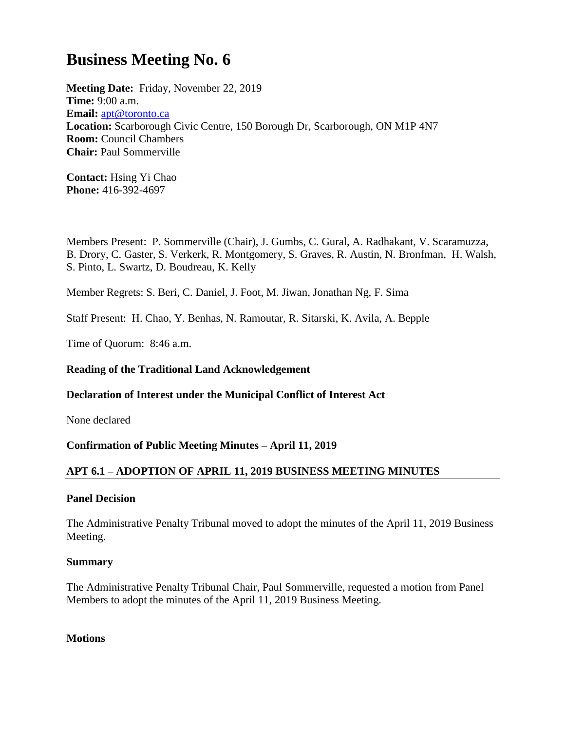# **Business Meeting No. 6**

**Meeting Date:** Friday, November 22, 2019 **Time:** 9:00 a.m. **Email:** [apt@toronto.ca](mailto:apt@toronto.ca) **Location:** Scarborough Civic Centre, 150 Borough Dr, Scarborough, ON M1P 4N7 **Room:** Council Chambers **Chair:** Paul Sommerville

**Contact:** Hsing Yi Chao **Phone:** 416-392-4697

Members Present: P. Sommerville (Chair), J. Gumbs, C. Gural, A. Radhakant, V. Scaramuzza, B. Drory, C. Gaster, S. Verkerk, R. Montgomery, S. Graves, R. Austin, N. Bronfman, H. Walsh, S. Pinto, L. Swartz, D. Boudreau, K. Kelly

Member Regrets: S. Beri, C. Daniel, J. Foot, M. Jiwan, Jonathan Ng, F. Sima

Staff Present: H. Chao, Y. Benhas, N. Ramoutar, R. Sitarski, K. Avila, A. Bepple

Time of Quorum: 8:46 a.m.

**Reading of the Traditional Land Acknowledgement** 

**Declaration of Interest under the Municipal Conflict of Interest Act** 

None declared

#### **Confirmation of Public Meeting Minutes – April 11, 2019**

#### **APT 6.1 – ADOPTION OF APRIL 11, 2019 BUSINESS MEETING MINUTES**

#### **Panel Decision**

The Administrative Penalty Tribunal moved to adopt the minutes of the April 11, 2019 Business Meeting.

#### **Summary**

The Administrative Penalty Tribunal Chair, Paul Sommerville, requested a motion from Panel Members to adopt the minutes of the April 11, 2019 Business Meeting.

**Motions**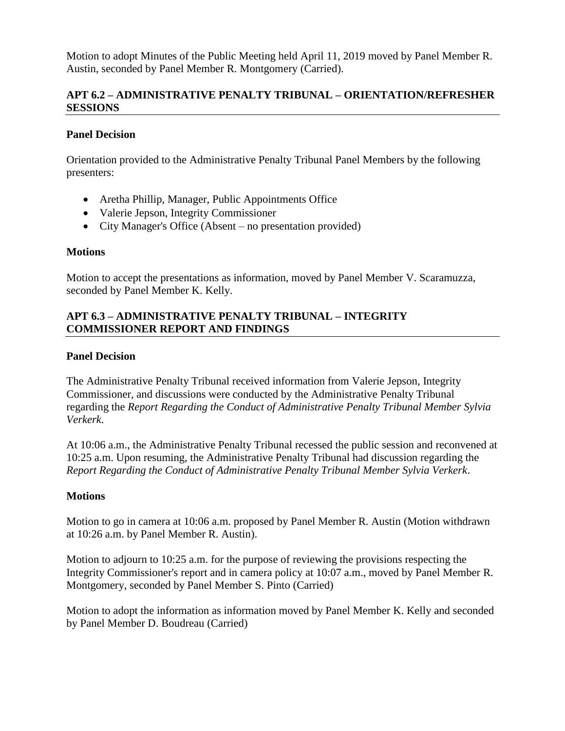Motion to adopt Minutes of the Public Meeting held April 11, 2019 moved by Panel Member R. Austin, seconded by Panel Member R. Montgomery (Carried).

## **APT 6.2 – ADMINISTRATIVE PENALTY TRIBUNAL – ORIENTATION/REFRESHER SESSIONS**

## **Panel Decision**

Orientation provided to the Administrative Penalty Tribunal Panel Members by the following presenters:

- Aretha Phillip, Manager, Public Appointments Office
- Valerie Jepson, Integrity Commissioner
- City Manager's Office (Absent no presentation provided)

## **Motions**

Motion to accept the presentations as information, moved by Panel Member V. Scaramuzza, seconded by Panel Member K. Kelly.

# **APT 6.3 – ADMINISTRATIVE PENALTY TRIBUNAL – INTEGRITY COMMISSIONER REPORT AND FINDINGS**

## **Panel Decision**

The Administrative Penalty Tribunal received information from Valerie Jepson, Integrity Commissioner, and discussions were conducted by the Administrative Penalty Tribunal regarding the *Report Regarding the Conduct of Administrative Penalty Tribunal Member Sylvia Verkerk*.

At 10:06 a.m., the Administrative Penalty Tribunal recessed the public session and reconvened at 10:25 a.m. Upon resuming, the Administrative Penalty Tribunal had discussion regarding the *Report Regarding the Conduct of Administrative Penalty Tribunal Member Sylvia Verkerk*.

#### **Motions**

Motion to go in camera at 10:06 a.m. proposed by Panel Member R. Austin (Motion withdrawn at 10:26 a.m. by Panel Member R. Austin).

Motion to adjourn to 10:25 a.m. for the purpose of reviewing the provisions respecting the Integrity Commissioner's report and in camera policy at 10:07 a.m., moved by Panel Member R. Montgomery, seconded by Panel Member S. Pinto (Carried)

Motion to adopt the information as information moved by Panel Member K. Kelly and seconded by Panel Member D. Boudreau (Carried)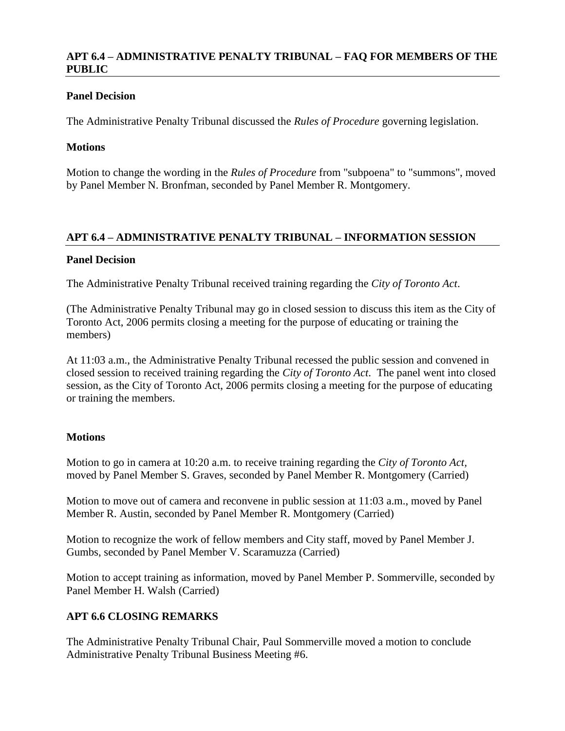## **APT 6.4 – ADMINISTRATIVE PENALTY TRIBUNAL – FAQ FOR MEMBERS OF THE PUBLIC**

## **Panel Decision**

The Administrative Penalty Tribunal discussed the *Rules of Procedure* governing legislation.

#### **Motions**

Motion to change the wording in the *Rules of Procedure* from "subpoena" to "summons", moved by Panel Member N. Bronfman, seconded by Panel Member R. Montgomery.

## **APT 6.4 – ADMINISTRATIVE PENALTY TRIBUNAL – INFORMATION SESSION**

#### **Panel Decision**

The Administrative Penalty Tribunal received training regarding the *City of Toronto Act*.

(The Administrative Penalty Tribunal may go in closed session to discuss this item as the City of Toronto Act, 2006 permits closing a meeting for the purpose of educating or training the members)

At 11:03 a.m., the Administrative Penalty Tribunal recessed the public session and convened in closed session to received training regarding the *City of Toronto Act*. The panel went into closed session, as the City of Toronto Act, 2006 permits closing a meeting for the purpose of educating or training the members.

## **Motions**

Motion to go in camera at 10:20 a.m. to receive training regarding the *City of Toronto Act,*  moved by Panel Member S. Graves, seconded by Panel Member R. Montgomery (Carried)

Motion to move out of camera and reconvene in public session at 11:03 a.m., moved by Panel Member R. Austin, seconded by Panel Member R. Montgomery (Carried)

Motion to recognize the work of fellow members and City staff, moved by Panel Member J. Gumbs, seconded by Panel Member V. Scaramuzza (Carried)

Motion to accept training as information, moved by Panel Member P. Sommerville, seconded by Panel Member H. Walsh (Carried)

## **APT 6.6 CLOSING REMARKS**

The Administrative Penalty Tribunal Chair, Paul Sommerville moved a motion to conclude Administrative Penalty Tribunal Business Meeting #6.